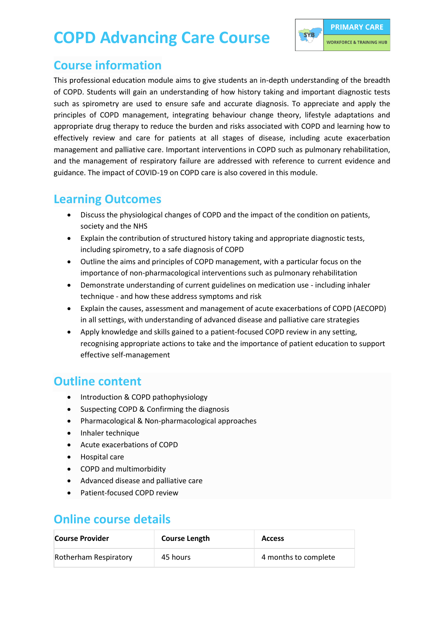# **COPD Advancing Care Course**



#### **Course information**

This professional education module aims to give students an in-depth understanding of the breadth of COPD. Students will gain an understanding of how history taking and important diagnostic tests such as spirometry are used to ensure safe and accurate diagnosis. To appreciate and apply the principles of COPD management, integrating behaviour change theory, lifestyle adaptations and appropriate drug therapy to reduce the burden and risks associated with COPD and learning how to effectively review and care for patients at all stages of disease, including acute exacerbation management and palliative care. Important interventions in COPD such as pulmonary rehabilitation, and the management of respiratory failure are addressed with reference to current evidence and guidance. The impact of COVID-19 on COPD care is also covered in this module.

#### **Learning Outcomes**

- Discuss the physiological changes of COPD and the impact of the condition on patients, society and the NHS
- Explain the contribution of structured history taking and appropriate diagnostic tests, including spirometry, to a safe diagnosis of COPD
- Outline the aims and principles of COPD management, with a particular focus on the importance of non-pharmacological interventions such as pulmonary rehabilitation
- Demonstrate understanding of current guidelines on medication use including inhaler technique - and how these address symptoms and risk
- Explain the causes, assessment and management of acute exacerbations of COPD (AECOPD) in all settings, with understanding of advanced disease and palliative care strategies
- Apply knowledge and skills gained to a patient-focused COPD review in any setting, recognising appropriate actions to take and the importance of patient education to support effective self-management

## **Outline content**

- Introduction & COPD pathophysiology
- Suspecting COPD & Confirming the diagnosis
- Pharmacological & Non-pharmacological approaches
- Inhaler technique
- Acute exacerbations of COPD
- Hospital care
- COPD and multimorbidity
- Advanced disease and palliative care
- Patient-focused COPD review

### **Online course details**

| Course Provider       | <b>Course Length</b> | <b>Access</b>        |
|-----------------------|----------------------|----------------------|
| Rotherham Respiratory | 45 hours             | 4 months to complete |